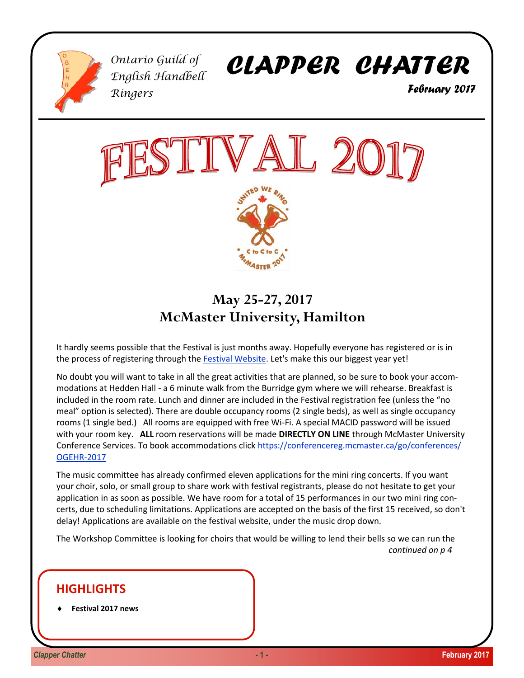

*Ontario Guild of English Handbell Ringers*

*CLAPPER CHATTER*

 *February 2017*



# **May 25-27, 2017 McMaster University, Hamilton**

It hardly seems possible that the Festival is just months away. Hopefully everyone has registered or is in the process of registering through the [Festival Website.](https://ogehr.ca/festival2017/) Let's make this our biggest year yet!

No doubt you will want to take in all the great activities that are planned, so be sure to book your accommodations at Hedden Hall - a 6 minute walk from the Burridge gym where we will rehearse. Breakfast is included in the room rate. Lunch and dinner are included in the Festival registration fee (unless the "no meal" option is selected). There are double occupancy rooms (2 single beds), as well as single occupancy rooms (1 single bed.) All rooms are equipped with free Wi-Fi. A special MACID password will be issued with your room key. **ALL** room reservations will be made **DIRECTLY ON LINE** through McMaster University Conference Services. To book accommodations click [https://conferencereg.mcmaster.ca/go/conferences/](https://conferencereg.mcmaster.ca/go/conferences/OGEHR-2017) [OGEHR-2017](https://conferencereg.mcmaster.ca/go/conferences/OGEHR-2017) 

The music committee has already confirmed eleven applications for the mini ring concerts. If you want your choir, solo, or small group to share work with festival registrants, please do not hesitate to get your application in as soon as possible. We have room for a total of 15 performances in our two mini ring concerts, due to scheduling limitations. Applications are accepted on the basis of the first 15 received, so don't delay! Applications are available on the festival website, under the music drop down.

The Workshop Committee is looking for choirs that would be willing to lend their bells so we can run the *continued on p 4* 

# **HIGHLIGHTS**

**Festival 2017 news**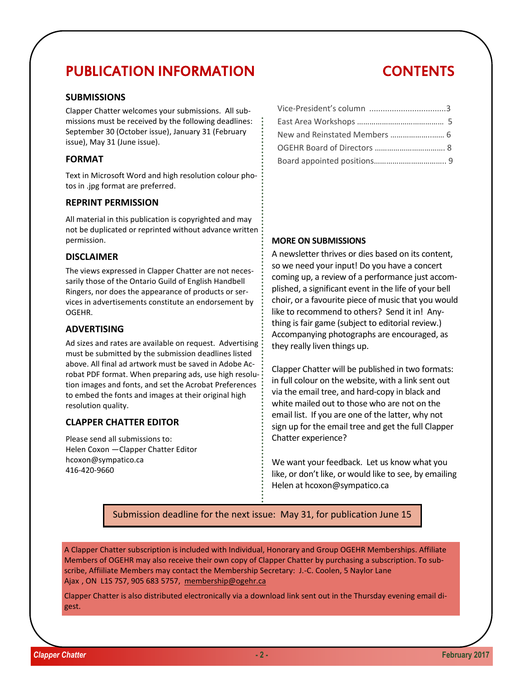# PUBLICATION INFORMATION

### **SUBMISSIONS**

Clapper Chatter welcomes your submissions. All submissions must be received by the following deadlines: September 30 (October issue), January 31 (February issue), May 31 (June issue).

### **FORMAT**

Text in Microsoft Word and high resolution colour photos in .jpg format are preferred.

## **REPRINT PERMISSION**

All material in this publication is copyrighted and may not be duplicated or reprinted without advance written permission.

### **DISCLAIMER**

The views expressed in Clapper Chatter are not necessarily those of the Ontario Guild of English Handbell Ringers, nor does the appearance of products or services in advertisements constitute an endorsement by OGEHR.

## **ADVERTISING**

Ad sizes and rates are available on request. Advertising must be submitted by the submission deadlines listed above. All final ad artwork must be saved in Adobe Acrobat PDF format. When preparing ads, use high resolution images and fonts, and set the Acrobat Preferences to embed the fonts and images at their original high resolution quality.

# **CLAPPER CHATTER EDITOR**

Please send all submissions to: Helen Coxon —Clapper Chatter Editor hcoxon@sympatico.ca 416-420-9660

# Vice-President's column ..................................3 East Area Workshops …………………………………… 5 New and Reinstated Members ………………..…… 6 OGEHR Board of Directors ……………………………. 8 Board appointed positions…………………………….. 9

## **MORE ON SUBMISSIONS**

A newsletter thrives or dies based on its content, so we need your input! Do you have a concert coming up, a review of a performance just accomplished, a significant event in the life of your bell choir, or a favourite piece of music that you would like to recommend to others? Send it in! Anything is fair game (subject to editorial review.) Accompanying photographs are encouraged, as they really liven things up.

Clapper Chatter will be published in two formats: in full colour on the website, with a link sent out via the email tree, and hard-copy in black and white mailed out to those who are not on the email list. If you are one of the latter, why not sign up for the email tree and get the full Clapper Chatter experience?

We want your feedback. Let us know what you like, or don't like, or would like to see, by emailing Helen at hcoxon@sympatico.ca

Submission deadline for the next issue: May 31, for publication June 15

A Clapper Chatter subscription is included with Individual, Honorary and Group OGEHR Memberships. Affiliate Members of OGEHR may also receive their own copy of Clapper Chatter by purchasing a subscription. To subscribe, Affiiliate Members may contact the Membership Secretary: J.-C. Coolen, 5 Naylor Lane Ajax , ON L1S 7S7, 905 683 5757, [membership@ogehr.ca](mailto:jccoolen@sympatico.ca)

Clapper Chatter is also distributed electronically via a download link sent out in the Thursday evening email digest.

# **CONTENTS**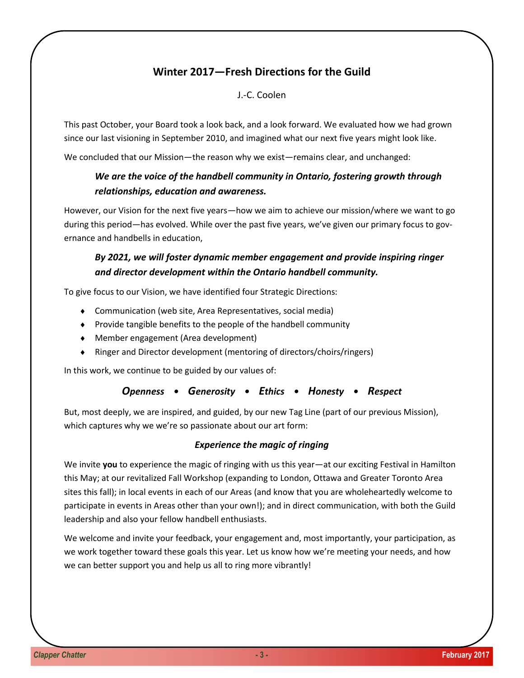# **Winter 2017—Fresh Directions for the Guild**

# J.-C. Coolen

This past October, your Board took a look back, and a look forward. We evaluated how we had grown since our last visioning in September 2010, and imagined what our next five years might look like.

We concluded that our Mission—the reason why we exist—remains clear, and unchanged:

# *We are the voice of the handbell community in Ontario, fostering growth through relationships, education and awareness.*

However, our Vision for the next five years—how we aim to achieve our mission/where we want to go during this period—has evolved. While over the past five years, we've given our primary focus to governance and handbells in education,

# *By 2021, we will foster dynamic member engagement and provide inspiring ringer and director development within the Ontario handbell community.*

To give focus to our Vision, we have identified four Strategic Directions:

- Communication (web site, Area Representatives, social media)
- Provide tangible benefits to the people of the handbell community
- Member engagement (Area development)
- Ringer and Director development (mentoring of directors/choirs/ringers)

In this work, we continue to be guided by our values of:

### *Openness • Generosity • Ethics • Honesty • Respect*

But, most deeply, we are inspired, and guided, by our new Tag Line (part of our previous Mission), which captures why we we're so passionate about our art form:

### *Experience the magic of ringing*

We invite you to experience the magic of ringing with us this year—at our exciting Festival in Hamilton this May; at our revitalized Fall Workshop (expanding to London, Ottawa and Greater Toronto Area sites this fall); in local events in each of our Areas (and know that you are wholeheartedly welcome to participate in events in Areas other than your own!); and in direct communication, with both the Guild leadership and also your fellow handbell enthusiasts.

We welcome and invite your feedback, your engagement and, most importantly, your participation, as we work together toward these goals this year. Let us know how we're meeting your needs, and how we can better support you and help us all to ring more vibrantly!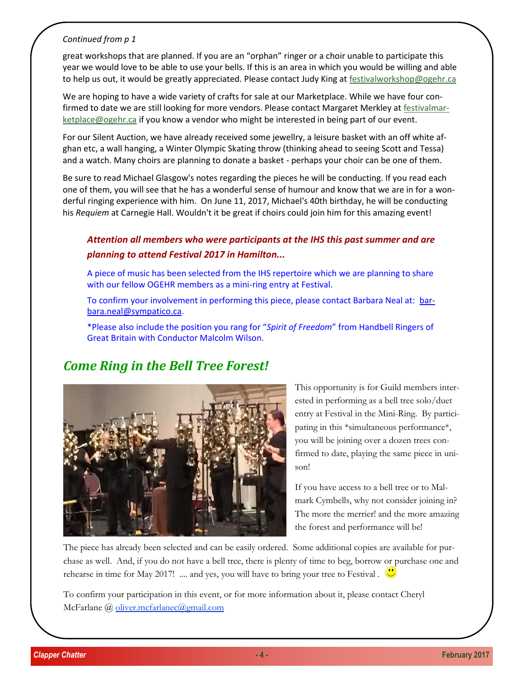## *Continued from p 1*

great workshops that are planned. If you are an "orphan" ringer or a choir unable to participate this year we would love to be able to use your bells. If this is an area in which you would be willing and able to help us out, it would be greatly appreciated. Please contact Judy King at [festivalworkshop@ogehr.ca](mailto:festivalworkshop@ogehr.ca)

We are hoping to have a wide variety of crafts for sale at our Marketplace. While we have four confirmed to date we are still looking for more vendors. Please contact Margaret Merkley at [festivalmar](mailto:festivalmarketplace@ogehr.ca)[ketplace@ogehr.ca](mailto:festivalmarketplace@ogehr.ca) if you know a vendor who might be interested in being part of our event.

For our Silent Auction, we have already received some jewellry, a leisure basket with an off white afghan etc, a wall hanging, a Winter Olympic Skating throw (thinking ahead to seeing Scott and Tessa) and a watch. Many choirs are planning to donate a basket - perhaps your choir can be one of them.

Be sure to read Michael Glasgow's notes regarding the pieces he will be conducting. If you read each one of them, you will see that he has a wonderful sense of humour and know that we are in for a wonderful ringing experience with him. On June 11, 2017, Michael's 40th birthday, he will be conducting his *Requiem* at Carnegie Hall. Wouldn't it be great if choirs could join him for this amazing event!

# *Attention all members who were participants at the IHS this past summer and are planning to attend Festival 2017 in Hamilton...*

A piece of music has been selected from the IHS repertoire which we are planning to share with our fellow OGEHR members as a mini-ring entry at Festival.

To confirm your involvement in performing this piece, please contact Barbara Neal at: [bar](mailto:barbara.neal@sympatico.ca)[bara.neal@sympatico.ca.](mailto:barbara.neal@sympatico.ca)

\*Please also include the position you rang for "*Spirit of Freedom*" from Handbell Ringers of Great Britain with Conductor Malcolm Wilson.

# *Come Ring in the Bell Tree Forest!*



This opportunity is for Guild members interested in performing as a bell tree solo/duet entry at Festival in the Mini-Ring. By participating in this \*simultaneous performance\*, you will be joining over a dozen trees confirmed to date, playing the same piece in unison!

If you have access to a bell tree or to Malmark Cymbells, why not consider joining in? The more the merrier! and the more amazing the forest and performance will be!

The piece has already been selected and can be easily ordered. Some additional copies are available for purchase as well. And, if you do not have a bell tree, there is plenty of time to beg, borrow or purchase one and rehearse in time for May 2017! .... and yes, you will have to bring your tree to Festival .  $\bullet$ 

To confirm your participation in this event, or for more information about it, please contact Cheryl McFarlane @ [oliver.mcfarlanec@gmail.com](mailto:oliver.mcfarlanec@gmail.com)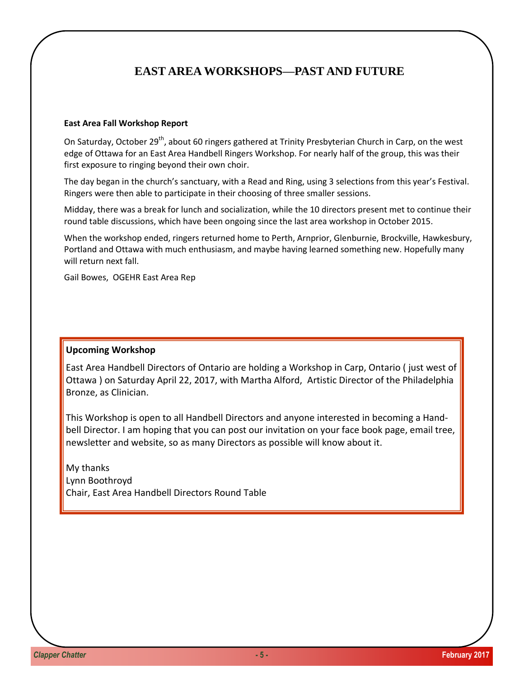# **EAST AREA WORKSHOPS—PAST AND FUTURE**

### **East Area Fall Workshop Report**

On Saturday, October 29<sup>th</sup>, about 60 ringers gathered at Trinity Presbyterian Church in Carp, on the west edge of Ottawa for an East Area Handbell Ringers Workshop. For nearly half of the group, this was their first exposure to ringing beyond their own choir.

The day began in the church's sanctuary, with a Read and Ring, using 3 selections from this year's Festival. Ringers were then able to participate in their choosing of three smaller sessions.

Midday, there was a break for lunch and socialization, while the 10 directors present met to continue their round table discussions, which have been ongoing since the last area workshop in October 2015.

When the workshop ended, ringers returned home to Perth, Arnprior, Glenburnie, Brockville, Hawkesbury, Portland and Ottawa with much enthusiasm, and maybe having learned something new. Hopefully many will return next fall.

Gail Bowes, OGEHR East Area Rep

### **Upcoming Workshop**

East Area Handbell Directors of Ontario are holding a Workshop in Carp, Ontario ( just west of Ottawa ) on Saturday April 22, 2017, with Martha Alford, Artistic Director of the Philadelphia Bronze, as Clinician.

This Workshop is open to all Handbell Directors and anyone interested in becoming a Handbell Director. I am hoping that you can post our invitation on your face book page, email tree, newsletter and website, so as many Directors as possible will know about it.

My thanks Lynn Boothroyd Chair, East Area Handbell Directors Round Table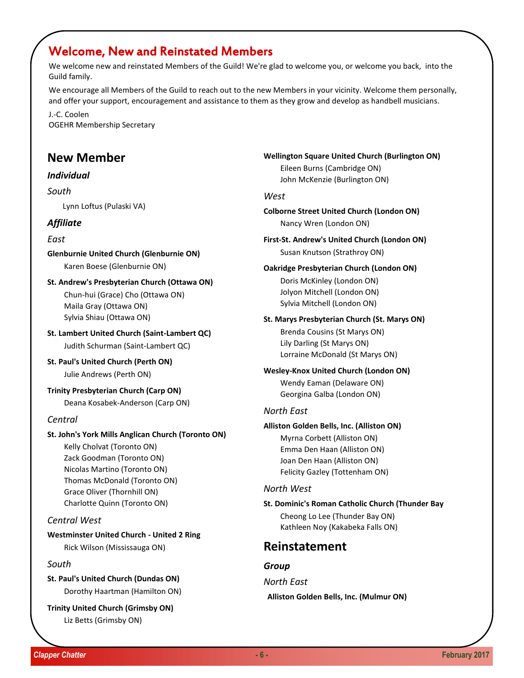# Welcome, New and Reinstated Members

We welcome new and reinstated Members of the Guild! We're glad to welcome you, or welcome you back, into the Guild family.

We encourage all Members of the Guild to reach out to the new Members in your vicinity. Welcome them personally, and offer your support, encouragement and assistance to them as they grow and develop as handbell musicians.

J.-C. Coolen OGEHR Membership Secretary

# **New Member**

### *Individual*

### *South*

Lynn Loftus (Pulaski VA)

### *Affiliate*

### *East*

- **Glenburnie United Church (Glenburnie ON)** Karen Boese (Glenburnie ON)
- **St. Andrew's Presbyterian Church (Ottawa ON)** Chun-hui (Grace) Cho (Ottawa ON) Maila Gray (Ottawa ON) Sylvia Shiau (Ottawa ON)
- **St. Lambert United Church (Saint-Lambert QC)** Judith Schurman (Saint-Lambert QC)
- **St. Paul's United Church (Perth ON)** Julie Andrews (Perth ON)
- **Trinity Presbyterian Church (Carp ON)** Deana Kosabek-Anderson (Carp ON)

### *Central*

### **St. John's York Mills Anglican Church (Toronto ON)**

Kelly Cholvat (Toronto ON) Zack Goodman (Toronto ON) Nicolas Martino (Toronto ON) Thomas McDonald (Toronto ON) Grace Oliver (Thornhill ON) Charlotte Quinn (Toronto ON)

### *Central West*

# **Westminster United Church - United 2 Ring**

Rick Wilson (Mississauga ON)

# *South*

**St. Paul's United Church (Dundas ON)** Dorothy Haartman (Hamilton ON)

**Trinity United Church (Grimsby ON)** Liz Betts (Grimsby ON)

**Wellington Square United Church (Burlington ON)**

Eileen Burns (Cambridge ON) John McKenzie (Burlington ON)

## *West*

**Colborne Street United Church (London ON)** Nancy Wren (London ON)

**First-St. Andrew's United Church (London ON)** Susan Knutson (Strathroy ON)

# **Oakridge Presbyterian Church (London ON)**

Doris McKinley (London ON) Jolyon Mitchell (London ON) Sylvia Mitchell (London ON)

#### **St. Marys Presbyterian Church (St. Marys ON)**

Brenda Cousins (St Marys ON) Lily Darling (St Marys ON) Lorraine McDonald (St Marys ON)

### **Wesley-Knox United Church (London ON)** Wendy Eaman (Delaware ON) Georgina Galba (London ON)

### *North East*

### **Alliston Golden Bells, Inc. (Alliston ON)**

Myrna Corbett (Alliston ON) Emma Den Haan (Alliston ON) Joan Den Haan (Alliston ON) Felicity Gazley (Tottenham ON)

### *North West*

**St. Dominic's Roman Catholic Church (Thunder Bay**  Cheong Lo Lee (Thunder Bay ON) Kathleen Noy (Kakabeka Falls ON)

# **Reinstatement**

### *Group*

*North East*

**Alliston Golden Bells, Inc. (Mulmur ON)**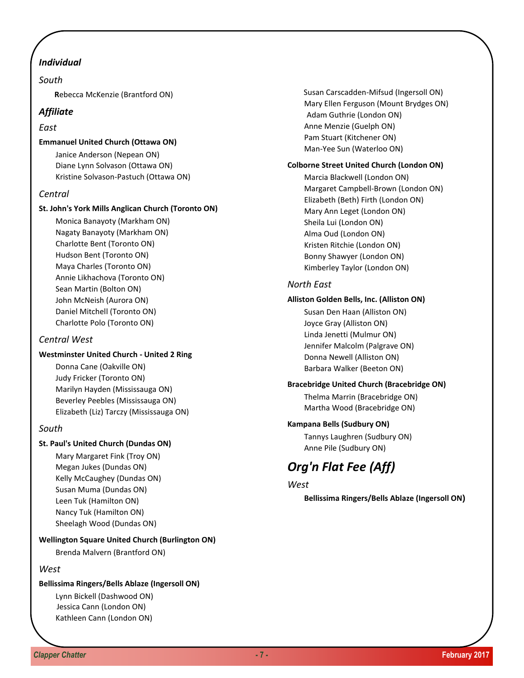# *Individual*

## *South*

 **R**ebecca McKenzie (Brantford ON)

# *Affiliate*

### *East*

### **Emmanuel United Church (Ottawa ON)**

Janice Anderson (Nepean ON) Diane Lynn Solvason (Ottawa ON) Kristine Solvason-Pastuch (Ottawa ON)

## *Central*

### **St. John's York Mills Anglican Church (Toronto ON)**

Monica Banayoty (Markham ON) Nagaty Banayoty (Markham ON) Charlotte Bent (Toronto ON) Hudson Bent (Toronto ON) Maya Charles (Toronto ON) Annie Likhachova (Toronto ON) Sean Martin (Bolton ON) John McNeish (Aurora ON) Daniel Mitchell (Toronto ON) Charlotte Polo (Toronto ON)

# *Central West*

### **Westminster United Church - United 2 Ring**

Donna Cane (Oakville ON) Judy Fricker (Toronto ON) Marilyn Hayden (Mississauga ON) Beverley Peebles (Mississauga ON) Elizabeth (Liz) Tarczy (Mississauga ON)

### *South*

### **St. Paul's United Church (Dundas ON)**

Mary Margaret Fink (Troy ON) Megan Jukes (Dundas ON) Kelly McCaughey (Dundas ON) Susan Muma (Dundas ON) Leen Tuk (Hamilton ON) Nancy Tuk (Hamilton ON) Sheelagh Wood (Dundas ON)

### **Wellington Square United Church (Burlington ON)**

Brenda Malvern (Brantford ON)

# *West*

### **Bellissima Ringers/Bells Ablaze (Ingersoll ON)**

Lynn Bickell (Dashwood ON) Jessica Cann (London ON) Kathleen Cann (London ON)  Susan Carscadden-Mifsud (Ingersoll ON) Mary Ellen Ferguson (Mount Brydges ON) Adam Guthrie (London ON) Anne Menzie (Guelph ON) Pam Stuart (Kitchener ON) Man-Yee Sun (Waterloo ON)

### **Colborne Street United Church (London ON)**

Marcia Blackwell (London ON) Margaret Campbell-Brown (London ON) Elizabeth (Beth) Firth (London ON) Mary Ann Leget (London ON) Sheila Lui (London ON) Alma Oud (London ON) Kristen Ritchie (London ON) Bonny Shawyer (London ON) Kimberley Taylor (London ON)

## *North East*

### **Alliston Golden Bells, Inc. (Alliston ON)**

Susan Den Haan (Alliston ON) Joyce Gray (Alliston ON) Linda Jenetti (Mulmur ON) Jennifer Malcolm (Palgrave ON) Donna Newell (Alliston ON) Barbara Walker (Beeton ON)

### **Bracebridge United Church (Bracebridge ON)**

Thelma Marrin (Bracebridge ON) Martha Wood (Bracebridge ON)

### **Kampana Bells (Sudbury ON)**

Tannys Laughren (Sudbury ON) Anne Pile (Sudbury ON)

# *Org'n Flat Fee (Aff)*

# *West*

**Bellissima Ringers/Bells Ablaze (Ingersoll ON)**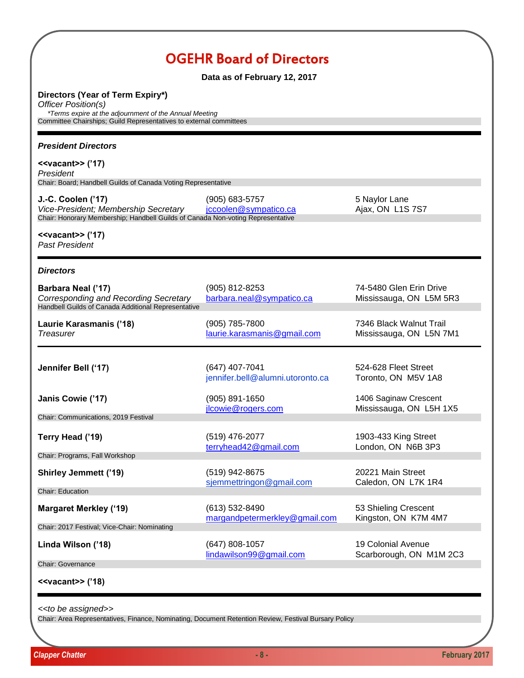| <b>OGEHR Board of Directors</b><br>Data as of February 12, 2017                                                                                                                                |                                                    |                                                      |
|------------------------------------------------------------------------------------------------------------------------------------------------------------------------------------------------|----------------------------------------------------|------------------------------------------------------|
| Directors (Year of Term Expiry*)<br>Officer Position(s)<br><i>*Terms expire at the adjournment of the Annual Meeting</i><br>Committee Chairships; Guild Representatives to external committees |                                                    |                                                      |
| <b>President Directors</b>                                                                                                                                                                     |                                                    |                                                      |
| $\le$ vacant>> ('17)<br>President<br>Chair: Board; Handbell Guilds of Canada Voting Representative                                                                                             |                                                    |                                                      |
| J.-C. Coolen ('17)<br>Vice-President; Membership Secretary<br>Chair: Honorary Membership; Handbell Guilds of Canada Non-voting Representative                                                  | $(905) 683 - 5757$<br>jccoolen@sympatico.ca        | 5 Naylor Lane<br>Ajax, ON L1S7S7                     |
| $\le$ vacant>> ('17)<br><b>Past President</b>                                                                                                                                                  |                                                    |                                                      |
| <b>Directors</b>                                                                                                                                                                               |                                                    |                                                      |
| Barbara Neal ('17)<br>Corresponding and Recording Secretary<br>Handbell Guilds of Canada Additional Representative                                                                             | (905) 812-8253<br>barbara.neal@sympatico.ca        | 74-5480 Glen Erin Drive<br>Mississauga, ON L5M 5R3   |
| Laurie Karasmanis ('18)<br><b>Treasurer</b>                                                                                                                                                    | (905) 785-7800<br>laurie.karasmanis@gmail.com      | 7346 Black Walnut Trail<br>Mississauga, ON L5N 7M1   |
| Jennifer Bell ('17)                                                                                                                                                                            | (647) 407-7041<br>jennifer.bell@alumni.utoronto.ca | 524-628 Fleet Street<br>Toronto, ON M5V 1A8          |
| Janis Cowie ('17)                                                                                                                                                                              | (905) 891-1650                                     | 1406 Saginaw Crescent                                |
| Chair: Communications, 2019 Festival                                                                                                                                                           | jlcowie@rogers.com                                 | Mississauga, ON L5H 1X5                              |
| Terry Head ('19)<br>Chair: Programs, Fall Workshop                                                                                                                                             | (519) 476-2077<br>terryhead42@gmail.com            | 1903-433 King Street<br>London, ON N6B 3P3           |
| <b>Shirley Jemmett ('19)</b>                                                                                                                                                                   | (519) 942-8675                                     | 20221 Main Street                                    |
| Chair: Education                                                                                                                                                                               | sjemmettringon@gmail.com                           | Caledon, ON L7K 1R4                                  |
| <b>Margaret Merkley ('19)</b><br>Chair: 2017 Festival; Vice-Chair: Nominating                                                                                                                  | (613) 532-8490<br>margandpetermerkley@gmail.com    | 53 Shieling Crescent<br>Kingston, ON K7M 4M7         |
| Linda Wilson ('18)                                                                                                                                                                             | (647) 808-1057<br>lindawilson99@gmail.com          | <b>19 Colonial Avenue</b><br>Scarborough, ON M1M 2C3 |
| Chair: Governance                                                                                                                                                                              |                                                    |                                                      |
| $\langle \text{vacant} \rangle$ ('18)                                                                                                                                                          |                                                    |                                                      |

*<<to be assigned>>*

Chair: Area Representatives, Finance, Nominating, Document Retention Review, Festival Bursary Policy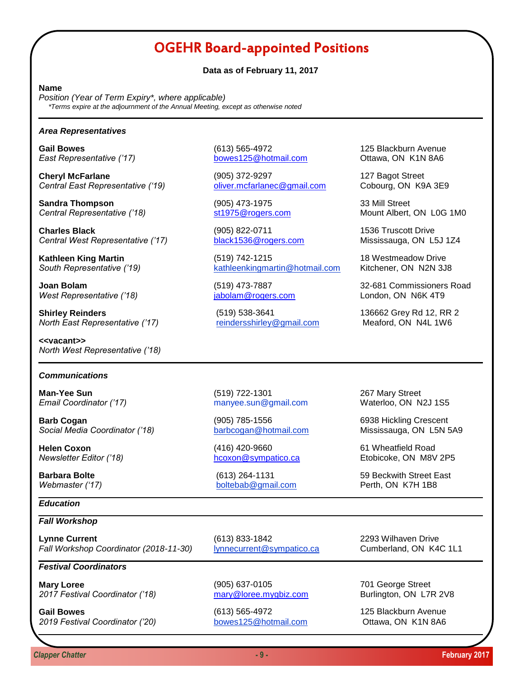# OGEHR Board-appointed Positions

#### **Data as of February 11, 2017**

#### **Name**

*Position (Year of Term Expiry\*, where applicable) \*Terms expire at the adjournment of the Annual Meeting, except as otherwise noted*

#### *Area Representatives*

**Cheryl McFarlane** 127 Bagot Street *Central East Representative ('19)* oliver.mcfarlanec@gmail.com Cobourg, ON K9A 3E9

**Sandra Thompson** (905) 473-1975 33 Mill Street

**Charles Black Charles Black** (905) 822-0711 1536 Truscott Drive *Central West Representative ('17)* black1536@rogers.com Mississauga, ON L5J 1Z4

*West Representative ('18)* jabolam@rogers.com London, ON N6K 4T9

**Shirley Reinders** (519) 538-3641 (519) 538-3641 136662 Grey Rd 12, RR 2<br> **North East Representative** ('17) **the andershirley@gmail.com** Meaford, ON N4L 1W6 *North East Representative ('17)* [reindersshirley@gmail.com](mailto:reindersshirley@gmail.com) Meaford, ON N4L 1W6

**<<vacant>>** *North West Representative ('18)*

#### *Communications*

**Barb Cogan Cogan Example 2018** (905) 785-1556 **6938 Hickling Crescent** *Social Media Coordinator ('18)* [barbcogan@hotmail.com](mailto:barbcogan@hotmail.com) Mississauga, ON L5N 5A9

**Helen Coxon Example 2018 Helen Coxon 61 Wheatfield Road** 

### *Education*

#### *Fall Workshop*

**Lynne Current** (613) 833-1842 2293 Wilhaven Drive *Fall Workshop Coordinator (2018-11-30)* [lynnecurrent@sympatico.ca](mailto:lynnecurrent@sympatico.ca) Cumberland, ON K4C 1L1

## *Festival Coordinators*

**Mary Loree** (905) 637-0105 701 George Street *2017 Festival Coordinator ('18)* mary@loree.mygbiz.com Burlington, ON L7R 2V8

*2019 Festival Coordinator ('20)* bowes125@hotmail.com Ottawa, ON K1N 8A6

**Gail Bowes** (613) 565-4972 125 Blackburn Avenue *East Representative ('17)* bowes125@hotmail.com Ottawa, ON K1N 8A6

**Kathleen King Martin** (519) 742-1215 **18 Westmeadow Drive** *South Representative ('19)* [kathleenkingmartin@hotmail.com](mailto:kathleenkingmartin@hotmail.com) Kitchener, ON N2N 3J8

**Central Representative ('18)** st1975@rogers.com Mount Albert, ON L0G 1M0

**Joan Bolam** (519) 473-7887 32-681 Commissioners Road

**Man-Yee Sun** 267 Mary Street (519) 722-1301 267 Mary Street *Email Coordinator ('17)* manyee.sun@gmail.com Waterloo, ON N2J 1S5

**Webmaster ('17)** [boltebab@gmail.com](mailto:boltebab@gmail.com) Perth, ON K7H 1B8

*Newsletter Editor ('18)* hcoxon@sympatico.ca Etobicoke, ON M8V 2P5

**Barbara Bolte** (613) 264-1131 59 Beckwith Street East

**Gail Bowes** (613) 565-4972 125 Blackburn Avenue